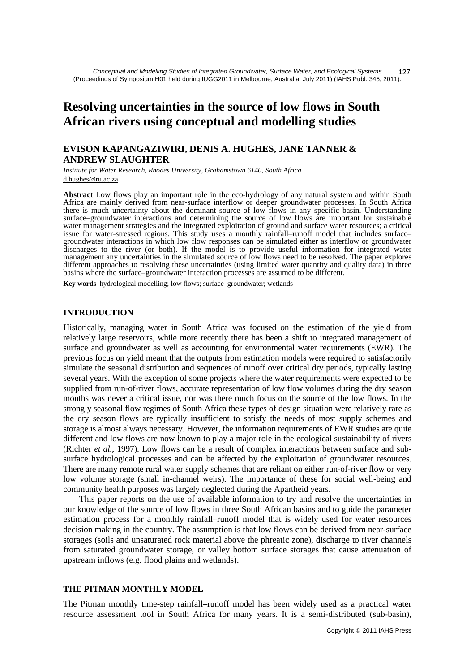# **Resolving uncertainties in the source of low flows in South African rivers using conceptual and modelling studies**

## **EVISON KAPANGAZIWIRI, DENIS A. HUGHES, JANE TANNER & ANDREW SLAUGHTER**

*Institute for Water Research, Rhodes University, Grahamstown 6140, South Africa*  d.hughes@ru.ac.za

**Abstract** Low flows play an important role in the eco-hydrology of any natural system and within South Africa are mainly derived from near-surface interflow or deeper groundwater processes. In South Africa there is much uncertainty about the dominant source of low flows in any specific basin. Understanding surface–groundwater interactions and determining the source of low flows are important for sustainable water management strategies and the integrated exploitation of ground and surface water resources; a critical issue for water-stressed regions. This study uses a monthly rainfall–runoff model that includes surface– groundwater interactions in which low flow responses can be simulated either as interflow or groundwater discharges to the river (or both). If the model is to provide useful information for integrated water management any uncertainties in the simulated source of low flows need to be resolved. The paper explores different approaches to resolving these uncertainties (using limited water quantity and quality data) in three basins where the surface–groundwater interaction processes are assumed to be different.

**Key words** hydrological modelling; low flows; surface–groundwater; wetlands

## **INTRODUCTION**

Historically, managing water in South Africa was focused on the estimation of the yield from relatively large reservoirs, while more recently there has been a shift to integrated management of surface and groundwater as well as accounting for environmental water requirements (EWR). The previous focus on yield meant that the outputs from estimation models were required to satisfactorily simulate the seasonal distribution and sequences of runoff over critical dry periods, typically lasting several years. With the exception of some projects where the water requirements were expected to be supplied from run-of-river flows, accurate representation of low flow volumes during the dry season months was never a critical issue, nor was there much focus on the source of the low flows. In the strongly seasonal flow regimes of South Africa these types of design situation were relatively rare as the dry season flows are typically insufficient to satisfy the needs of most supply schemes and storage is almost always necessary. However, the information requirements of EWR studies are quite different and low flows are now known to play a major role in the ecological sustainability of rivers (Richter *et al.*, 1997). Low flows can be a result of complex interactions between surface and subsurface hydrological processes and can be affected by the exploitation of groundwater resources. There are many remote rural water supply schemes that are reliant on either run-of-river flow or very low volume storage (small in-channel weirs). The importance of these for social well-being and community health purposes was largely neglected during the Apartheid years.

This paper reports on the use of available information to try and resolve the uncertainties in our knowledge of the source of low flows in three South African basins and to guide the parameter estimation process for a monthly rainfall–runoff model that is widely used for water resources decision making in the country. The assumption is that low flows can be derived from near-surface storages (soils and unsaturated rock material above the phreatic zone), discharge to river channels from saturated groundwater storage, or valley bottom surface storages that cause attenuation of upstream inflows (e.g. flood plains and wetlands).

### **THE PITMAN MONTHLY MODEL**

The Pitman monthly time-step rainfall–runoff model has been widely used as a practical water resource assessment tool in South Africa for many years. It is a semi-distributed (sub-basin),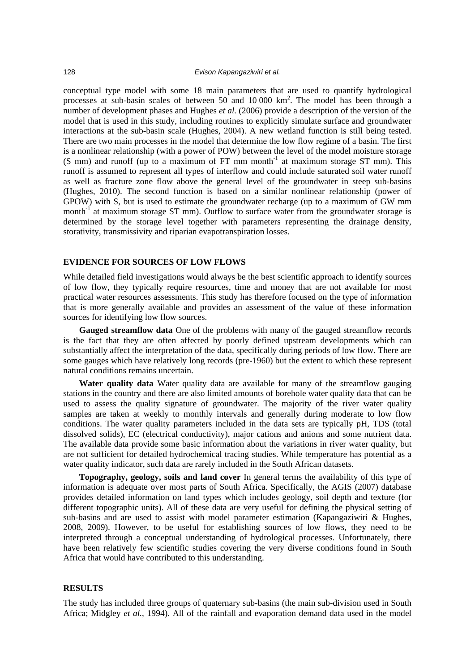conceptual type model with some 18 main parameters that are used to quantify hydrological processes at sub-basin scales of between 50 and 10 000 km2 . The model has been through a number of development phases and Hughes *et al.* (2006) provide a description of the version of the model that is used in this study, including routines to explicitly simulate surface and groundwater interactions at the sub-basin scale (Hughes, 2004). A new wetland function is still being tested. There are two main processes in the model that determine the low flow regime of a basin. The first is a nonlinear relationship (with a power of POW) between the level of the model moisture storage  $(S \text{ mm})$  and runoff (up to a maximum of FT mm month<sup>-1</sup> at maximum storage ST mm). This runoff is assumed to represent all types of interflow and could include saturated soil water runoff as well as fracture zone flow above the general level of the groundwater in steep sub-basins (Hughes, 2010). The second function is based on a similar nonlinear relationship (power of GPOW) with S, but is used to estimate the groundwater recharge (up to a maximum of GW mm month<sup>-1</sup> at maximum storage ST mm). Outflow to surface water from the groundwater storage is determined by the storage level together with parameters representing the drainage density, storativity, transmissivity and riparian evapotranspiration losses.

#### **EVIDENCE FOR SOURCES OF LOW FLOWS**

While detailed field investigations would always be the best scientific approach to identify sources of low flow, they typically require resources, time and money that are not available for most practical water resources assessments. This study has therefore focused on the type of information that is more generally available and provides an assessment of the value of these information sources for identifying low flow sources.

**Gauged streamflow data** One of the problems with many of the gauged streamflow records is the fact that they are often affected by poorly defined upstream developments which can substantially affect the interpretation of the data, specifically during periods of low flow. There are some gauges which have relatively long records (pre-1960) but the extent to which these represent natural conditions remains uncertain.

**Water quality data** Water quality data are available for many of the streamflow gauging stations in the country and there are also limited amounts of borehole water quality data that can be used to assess the quality signature of groundwater. The majority of the river water quality samples are taken at weekly to monthly intervals and generally during moderate to low flow conditions. The water quality parameters included in the data sets are typically pH, TDS (total dissolved solids), EC (electrical conductivity), major cations and anions and some nutrient data. The available data provide some basic information about the variations in river water quality, but are not sufficient for detailed hydrochemical tracing studies. While temperature has potential as a water quality indicator, such data are rarely included in the South African datasets.

**Topography, geology, soils and land cover** In general terms the availability of this type of information is adequate over most parts of South Africa. Specifically, the AGIS (2007) database provides detailed information on land types which includes geology, soil depth and texture (for different topographic units). All of these data are very useful for defining the physical setting of sub-basins and are used to assist with model parameter estimation (Kapangaziwiri & Hughes, 2008, 2009). However, to be useful for establishing sources of low flows, they need to be interpreted through a conceptual understanding of hydrological processes. Unfortunately, there have been relatively few scientific studies covering the very diverse conditions found in South Africa that would have contributed to this understanding.

#### **RESULTS**

The study has included three groups of quaternary sub-basins (the main sub-division used in South Africa; Midgley *et al.*, 1994). All of the rainfall and evaporation demand data used in the model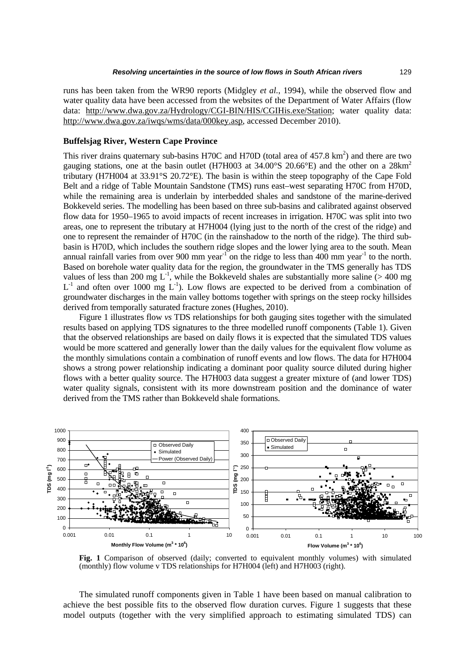runs has been taken from the WR90 reports (Midgley *et al.*, 1994), while the observed flow and water quality data have been accessed from the websites of the Department of Water Affairs (flow data: http://www.dwa.gov.za/Hydrology/CGI-BIN/HIS/CGIHis.exe/Station; water quality data: http://www.dwa.gov.za/iwqs/wms/data/000key.asp, accessed December 2010).

#### **Buffelsjag River, Western Cape Province**

This river drains quaternary sub-basins H70C and H70D (total area of  $457.8 \text{ km}^2$ ) and there are two [gauging stations, one at the basin outlet \(H7H003](http://www.dwa.gov.za/iwqs/wms/data/000key.asp) at  $34.00^{\circ}$ S 20.66 $^{\circ}$ E) and the other on a  $28 \text{km}^2$ tributary (H7H004 at 33.91°S 20.72°E). The basin is within the steep topography of the Cape Fold Belt and a ridge of Table Mountain Sandstone (TMS) runs east–west separating H70C from H70D, while the remaining area is underlain by interbedded shales and sandstone of the marine-derived Bokkeveld series. The modelling has been based on three sub-basins and calibrated against observed flow data for 1950–1965 to avoid impacts of recent increases in irrigation. H70C was split into two areas, one to represent the tributary at H7H004 (lying just to the north of the crest of the ridge) and one to represent the remainder of H70C (in the rainshadow to the north of the ridge). The third subbasin is H70D, which includes the southern ridge slopes and the lower lying area to the south. Mean annual rainfall varies from over 900 mm year<sup>-1</sup> on the ridge to less than 400 mm year<sup>-1</sup> to the north. Based on borehole water quality data for the region, the groundwater in the TMS generally has TDS values of less than 200 mg  $L^{-1}$ , while the Bokkeveld shales are substantially more saline (> 400 mg  $L^{-1}$  and often over 1000 mg  $L^{-1}$ ). Low flows are expected to be derived from a combination of groundwater discharges in the main valley bottoms together with springs on the steep rocky hillsides derived from temporally saturated fracture zones (Hughes, 2010).

Figure 1 illustrates flow *vs* TDS relationships for both gauging sites together with the simulated results based on applying TDS signatures to the three modelled runoff components (Table 1). Given that the observed relationships are based on daily flows it is expected that the simulated TDS values would be more scattered and generally lower than the daily values for the equivalent flow volume as the monthly simulations contain a combination of runoff events and low flows. The data for H7H004 shows a strong power relationship indicating a dominant poor quality source diluted during higher flows with a better quality source. The H7H003 data suggest a greater mixture of (and lower TDS) water quality signals, consistent with its more downstream position and the dominance of water derived from the TMS rather than Bokkeveld shale formations.



**Fig. 1** Comparison of observed (daily; converted to equivalent monthly volumes) with simulated (monthly) flow volume v TDS relationships for H7H004 (left) and H7H003 (right).

The simulated runoff components given in Table 1 have been based on manual calibration to achieve the best possible fits to the observed flow duration curves. Figure 1 suggests that these model outputs (together with the very simplified approach to estimating simulated TDS) can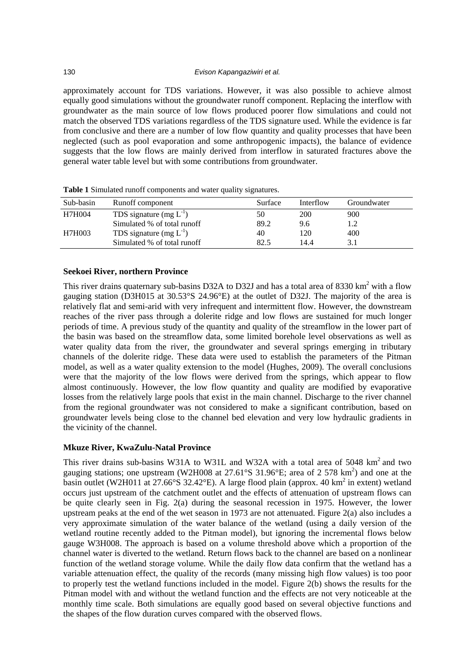approximately account for TDS variations. However, it was also possible to achieve almost equally good simulations without the groundwater runoff component. Replacing the interflow with groundwater as the main source of low flows produced poorer flow simulations and could not match the observed TDS variations regardless of the TDS signature used. While the evidence is far from conclusive and there are a number of low flow quantity and quality processes that have been neglected (such as pool evaporation and some anthropogenic impacts), the balance of evidence suggests that the low flows are mainly derived from interflow in saturated fractures above the general water table level but with some contributions from groundwater.

| Sub-basin | Runoff component            | Surface | Interflow | Groundwater |
|-----------|-----------------------------|---------|-----------|-------------|
| H7H004    | TDS signature $(mg L^{-1})$ | 50      | 200       | 900         |
|           | Simulated % of total runoff | 89.2    | 9.6       | 1.2         |
| H7H003    | TDS signature $(mg L^{-1})$ | 40      | 120       | 400         |
|           | Simulated % of total runoff | 82.5    | 14.4      | 3.1         |
|           |                             |         |           |             |

**Table 1** Simulated runoff components and water quality signatures.

## **Seekoei River, northern Province**

This river drains quaternary sub-basins D32A to D32J and has a total area of 8330  $\text{km}^2$  with a flow gauging station (D3H015 at 30.53°S 24.96°E) at the outlet of D32J. The majority of the area is relatively flat and semi-arid with very infrequent and intermittent flow. However, the downstream reaches of the river pass through a dolerite ridge and low flows are sustained for much longer periods of time. A previous study of the quantity and quality of the streamflow in the lower part of the basin was based on the streamflow data, some limited borehole level observations as well as water quality data from the river, the groundwater and several springs emerging in tributary channels of the dolerite ridge. These data were used to establish the parameters of the Pitman model, as well as a water quality extension to the model (Hughes, 2009). The overall conclusions were that the majority of the low flows were derived from the springs, which appear to flow almost continuously. However, the low flow quantity and quality are modified by evaporative losses from the relatively large pools that exist in the main channel. Discharge to the river channel from the regional groundwater was not considered to make a significant contribution, based on groundwater levels being close to the channel bed elevation and very low hydraulic gradients in the vicinity of the channel.

## **Mkuze River, KwaZulu-Natal Province**

This river drains sub-basins W31A to W31L and W32A with a total area of 5048 km<sup>2</sup> and two gauging stations; one upstream (W2H008 at  $27.61^{\circ}$ S 31.96 $^{\circ}$ E; area of 2 578 km<sup>2</sup>) and one at the basin outlet (W2H011 at 27.66°S 32.42°E). A large flood plain (approx. 40 km<sup>2</sup> in extent) wetland occurs just upstream of the catchment outlet and the effects of attenuation of upstream flows can be quite clearly seen in Fig. 2(a) during the seasonal recession in 1975. However, the lower upstream peaks at the end of the wet season in 1973 are not attenuated. Figure 2(a) also includes a very approximate simulation of the water balance of the wetland (using a daily version of the wetland routine recently added to the Pitman model), but ignoring the incremental flows below gauge W3H008. The approach is based on a volume threshold above which a proportion of the channel water is diverted to the wetland. Return flows back to the channel are based on a nonlinear function of the wetland storage volume. While the daily flow data confirm that the wetland has a variable attenuation effect, the quality of the records (many missing high flow values) is too poor to properly test the wetland functions included in the model. Figure 2(b) shows the results for the Pitman model with and without the wetland function and the effects are not very noticeable at the monthly time scale. Both simulations are equally good based on several objective functions and the shapes of the flow duration curves compared with the observed flows.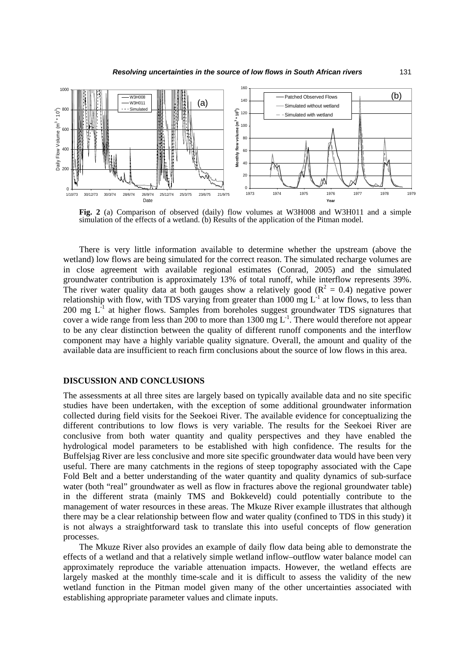

**Fig. 2** (a) Comparison of observed (daily) flow volumes at W3H008 and W3H011 and a simple simulation of the effects of a wetland. (b) Results of the application of the Pitman model.

There is very little information available to determine whether the upstream (above the wetland) low flows are being simulated for the correct reason. The simulated recharge volumes are in close agreement with available regional estimates (Conrad, 2005) and the simulated groundwater contribution is approximately 13% of total runoff, while interflow represents 39%. The river water quality data at both gauges show a relatively good ( $\mathbb{R}^2 = 0.4$ ) negative power relationship with flow, with TDS varying from greater than  $1000 \text{ mg } L^{-1}$  at low flows, to less than 200 mg  $L<sup>1</sup>$  at higher flows. Samples from boreholes suggest groundwater TDS signatures that cover a wide range from less than 200 to more than 1300 mg  $L^{-1}$ . There would therefore not appear to be any clear distinction between the quality of different runoff components and the interflow component may have a highly variable quality signature. Overall, the amount and quality of the available data are insufficient to reach firm conclusions about the source of low flows in this area.

#### **DISCUSSION AND CONCLUSIONS**

The assessments at all three sites are largely based on typically available data and no site specific studies have been undertaken, with the exception of some additional groundwater information collected during field visits for the Seekoei River. The available evidence for conceptualizing the different contributions to low flows is very variable. The results for the Seekoei River are conclusive from both water quantity and quality perspectives and they have enabled the hydrological model parameters to be established with high confidence. The results for the Buffelsjag River are less conclusive and more site specific groundwater data would have been very useful. There are many catchments in the regions of steep topography associated with the Cape Fold Belt and a better understanding of the water quantity and quality dynamics of sub-surface water (both "real" groundwater as well as flow in fractures above the regional groundwater table) in the different strata (mainly TMS and Bokkeveld) could potentially contribute to the management of water resources in these areas. The Mkuze River example illustrates that although there may be a clear relationship between flow and water quality (confined to TDS in this study) it is not always a straightforward task to translate this into useful concepts of flow generation processes.

The Mkuze River also provides an example of daily flow data being able to demonstrate the effects of a wetland and that a relatively simple wetland inflow–outflow water balance model can approximately reproduce the variable attenuation impacts. However, the wetland effects are largely masked at the monthly time-scale and it is difficult to assess the validity of the new wetland function in the Pitman model given many of the other uncertainties associated with establishing appropriate parameter values and climate inputs.